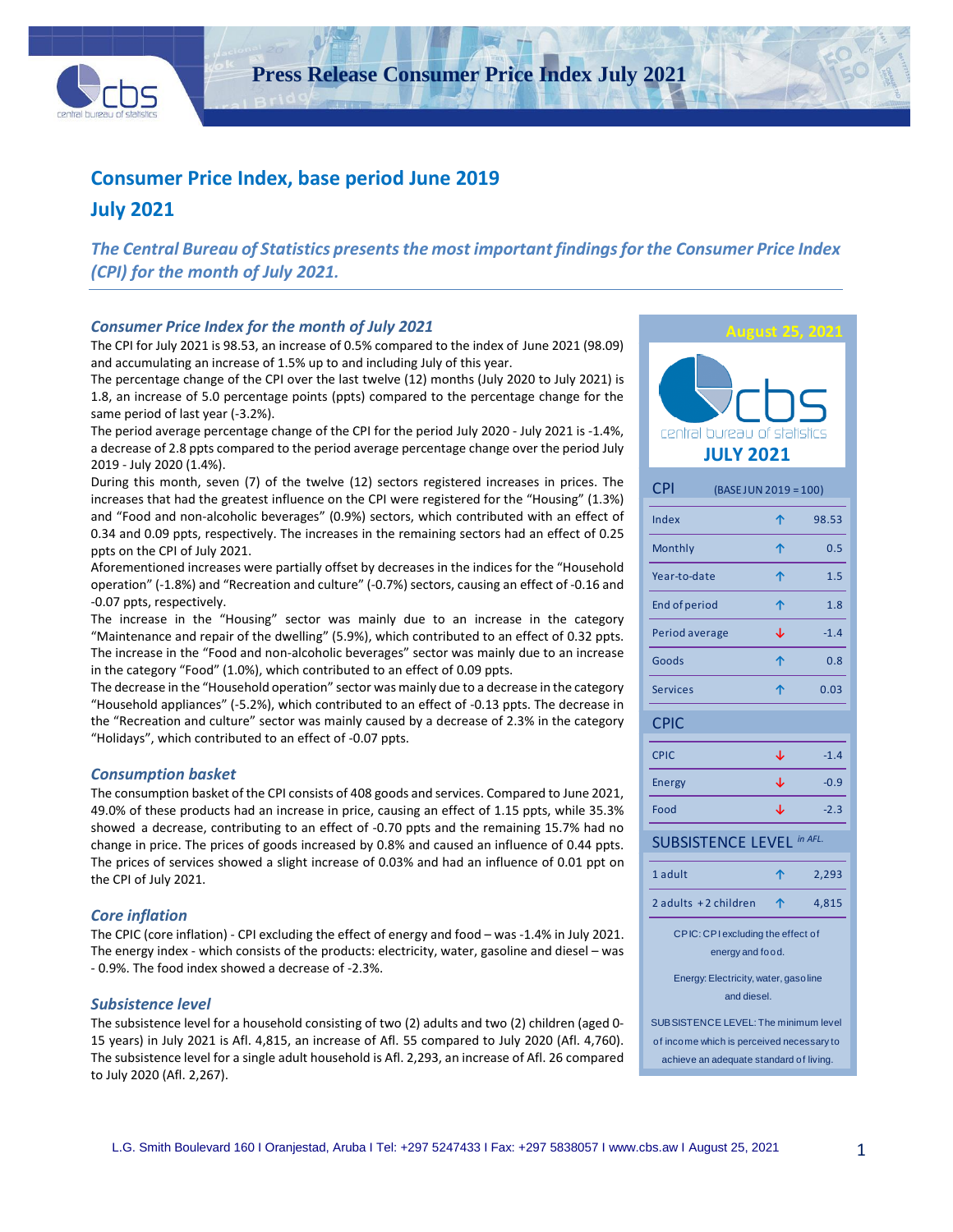

**Press Release Consumer Price Index July 2021**

# **Consumer Price Index, base period June 2019**

# **July 2021**

*The Central Bureau of Statistics presents the most important findings for the Consumer Price Index (CPI) for the month of July 2021.*

#### *Consumer Price Index for the month of July 2021*

The CPI for July 2021 is 98.53, an increase of 0.5% compared to the index of June 2021 (98.09) and accumulating an increase of 1.5% up to and including July of this year.

The percentage change of the CPI over the last twelve (12) months (July 2020 to July 2021) is 1.8, an increase of 5.0 percentage points (ppts) compared to the percentage change for the same period of last year (-3.2%).

The period average percentage change of the CPI for the period July 2020 - July 2021 is -1.4%, a decrease of 2.8 ppts compared to the period average percentage change over the period July 2019 - July 2020 (1.4%).

During this month, seven (7) of the twelve (12) sectors registered increases in prices. The increases that had the greatest influence on the CPI were registered for the "Housing" (1.3%) and "Food and non-alcoholic beverages" (0.9%) sectors, which contributed with an effect of 0.34 and 0.09 ppts, respectively. The increases in the remaining sectors had an effect of 0.25 ppts on the CPI of July 2021.

Aforementioned increases were partially offset by decreases in the indices for the "Household operation" (-1.8%) and "Recreation and culture" (-0.7%) sectors, causing an effect of -0.16 and -0.07 ppts, respectively.

The increase in the "Housing" sector was mainly due to an increase in the category "Maintenance and repair of the dwelling" (5.9%), which contributed to an effect of 0.32 ppts. The increase in the "Food and non-alcoholic beverages" sector was mainly due to an increase in the category "Food" (1.0%), which contributed to an effect of 0.09 ppts.

The decrease in the "Household operation" sector was mainly due to a decrease in the category "Household appliances" (-5.2%), which contributed to an effect of -0.13 ppts. The decrease in the "Recreation and culture" sector was mainly caused by a decrease of 2.3% in the category "Holidays", which contributed to an effect of -0.07 ppts.

#### *Consumption basket*

The consumption basket of the CPI consists of 408 goods and services. Compared to June 2021, 49.0% of these products had an increase in price, causing an effect of 1.15 ppts, while 35.3% showed a decrease, contributing to an effect of -0.70 ppts and the remaining 15.7% had no change in price. The prices of goods increased by 0.8% and caused an influence of 0.44 ppts. The prices of services showed a slight increase of 0.03% and had an influence of 0.01 ppt on the CPI of July 2021.

#### *Core inflation*

The CPIC (core inflation) - CPI excluding the effect of energy and food – was -1.4% in July 2021. The energy index - which consists of the products: electricity, water, gasoline and diesel – was - 0.9%. The food index showed a decrease of -2.3%.

#### *Subsistence level*

The subsistence level for a household consisting of two (2) adults and two (2) children (aged 0- 15 years) in July 2021 is Afl. 4,815, an increase of Afl. 55 compared to July 2020 (Afl. 4,760). The subsistence level for a single adult household is Afl. 2,293, an increase of Afl. 26 compared to July 2020 (Afl. 2,267).

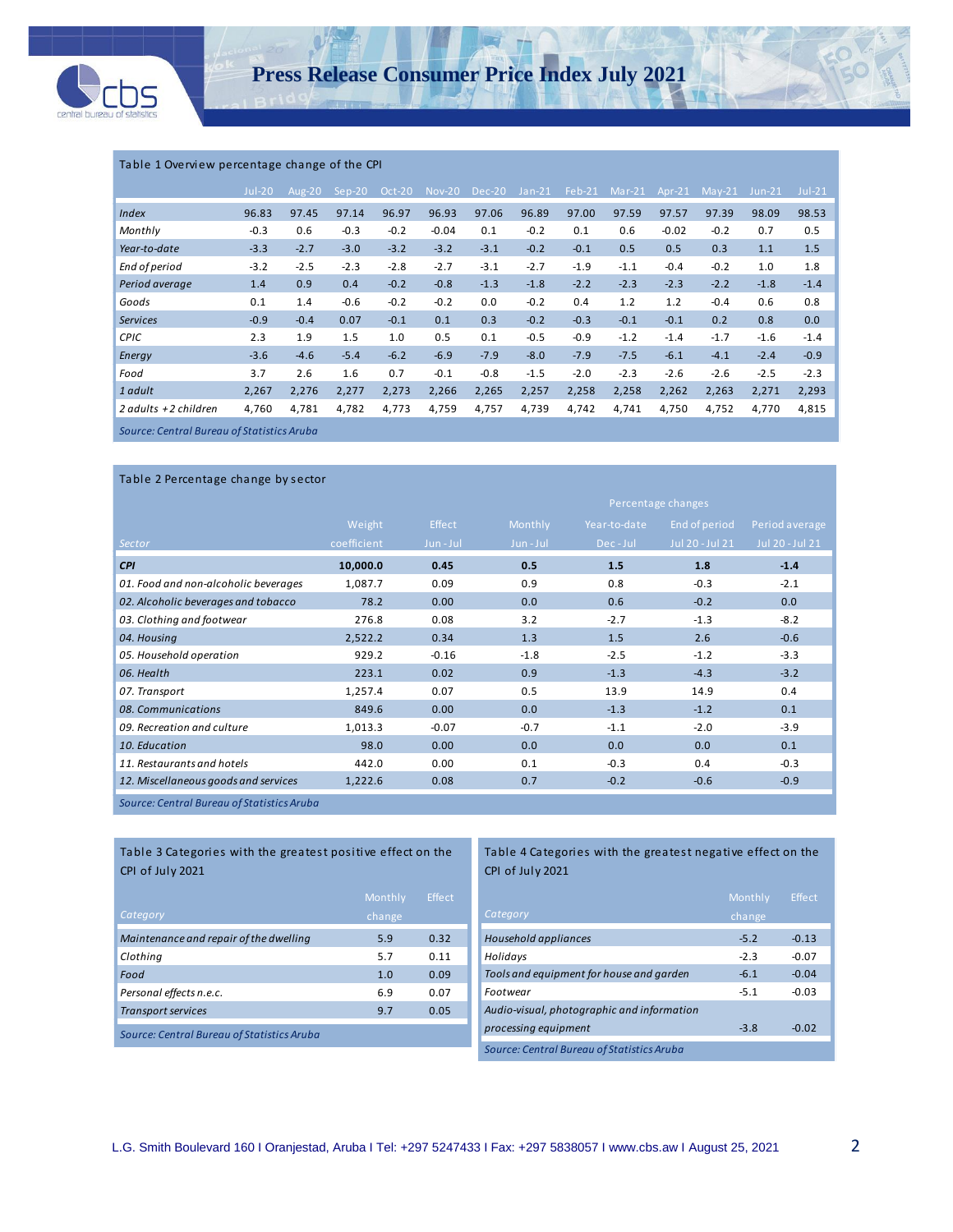

#### Table 1 Overview percentage change of the CPI

|                                            | $Jul-20$ | Aug- $20$ | $Sep-20$ | Oct-20 | <b>Nov-20</b> | Dec-20 | $Jan-21$ | $Feb-21$ | $Mar-21$ | Apr- $21$ | $May-21$ | $Jun-21$ | $Jul-21$ |
|--------------------------------------------|----------|-----------|----------|--------|---------------|--------|----------|----------|----------|-----------|----------|----------|----------|
| <b>Index</b>                               | 96.83    | 97.45     | 97.14    | 96.97  | 96.93         | 97.06  | 96.89    | 97.00    | 97.59    | 97.57     | 97.39    | 98.09    | 98.53    |
| Monthly                                    | $-0.3$   | 0.6       | $-0.3$   | $-0.2$ | $-0.04$       | 0.1    | $-0.2$   | 0.1      | 0.6      | $-0.02$   | $-0.2$   | 0.7      | 0.5      |
| Year-to-date                               | $-3.3$   | $-2.7$    | $-3.0$   | $-3.2$ | $-3.2$        | $-3.1$ | $-0.2$   | $-0.1$   | 0.5      | 0.5       | 0.3      | 1.1      | 1.5      |
| End of period                              | $-3.2$   | $-2.5$    | $-2.3$   | $-2.8$ | $-2.7$        | $-3.1$ | $-2.7$   | $-1.9$   | $-1.1$   | $-0.4$    | $-0.2$   | 1.0      | 1.8      |
| Period average                             | 1.4      | 0.9       | 0.4      | $-0.2$ | $-0.8$        | $-1.3$ | $-1.8$   | $-2.2$   | $-2.3$   | $-2.3$    | $-2.2$   | $-1.8$   | $-1.4$   |
| Goods                                      | 0.1      | 1.4       | $-0.6$   | $-0.2$ | $-0.2$        | 0.0    | $-0.2$   | 0.4      | 1.2      | 1.2       | $-0.4$   | 0.6      | 0.8      |
| <b>Services</b>                            | $-0.9$   | $-0.4$    | 0.07     | $-0.1$ | 0.1           | 0.3    | $-0.2$   | $-0.3$   | $-0.1$   | $-0.1$    | 0.2      | 0.8      | 0.0      |
| <b>CPIC</b>                                | 2.3      | 1.9       | 1.5      | 1.0    | 0.5           | 0.1    | $-0.5$   | $-0.9$   | $-1.2$   | $-1.4$    | $-1.7$   | $-1.6$   | $-1.4$   |
| Energy                                     | $-3.6$   | $-4.6$    | $-5.4$   | $-6.2$ | $-6.9$        | $-7.9$ | $-8.0$   | $-7.9$   | $-7.5$   | $-6.1$    | $-4.1$   | $-2.4$   | $-0.9$   |
| Food                                       | 3.7      | 2.6       | 1.6      | 0.7    | $-0.1$        | $-0.8$ | $-1.5$   | $-2.0$   | $-2.3$   | $-2.6$    | $-2.6$   | $-2.5$   | $-2.3$   |
| 1 adult                                    | 2,267    | 2,276     | 2,277    | 2,273  | 2,266         | 2,265  | 2,257    | 2,258    | 2,258    | 2,262     | 2,263    | 2,271    | 2,293    |
| 2 adults +2 children                       | 4,760    | 4,781     | 4,782    | 4,773  | 4,759         | 4,757  | 4,739    | 4,742    | 4,741    | 4,750     | 4,752    | 4,770    | 4,815    |
| Source: Central Bureau of Statistics Aruba |          |           |          |        |               |        |          |          |          |           |          |          |          |

Table 2 Percentage change by sector

|                                      |             |         |         |              | Percentage changes |                 |
|--------------------------------------|-------------|---------|---------|--------------|--------------------|-----------------|
|                                      | Weight      | Effect  | Monthly | Year-to-date | End of period      | Period average  |
| Sector                               | coefficient | Jun-Jul | Jun-Jul | Dec-Jul      | Jul 20 - Jul 21    | Jul 20 - Jul 21 |
| <b>CPI</b>                           | 10,000.0    | 0.45    | 0.5     | 1.5          | 1.8                | $-1.4$          |
| 01. Food and non-alcoholic beverages | 1,087.7     | 0.09    | 0.9     | 0.8          | $-0.3$             | $-2.1$          |
| 02. Alcoholic beverages and tobacco  | 78.2        | 0.00    | 0.0     | 0.6          | $-0.2$             | 0.0             |
| 03. Clothing and footwear            | 276.8       | 0.08    | 3.2     | $-2.7$       | $-1.3$             | $-8.2$          |
| 04. Housing                          | 2,522.2     | 0.34    | 1.3     | 1.5          | 2.6                | $-0.6$          |
| 05. Household operation              | 929.2       | $-0.16$ | $-1.8$  | $-2.5$       | $-1.2$             | $-3.3$          |
| 06. Health                           | 223.1       | 0.02    | 0.9     | $-1.3$       | $-4.3$             | $-3.2$          |
| 07. Transport                        | 1,257.4     | 0.07    | 0.5     | 13.9         | 14.9               | 0.4             |
| 08. Communications                   | 849.6       | 0.00    | 0.0     | $-1.3$       | $-1.2$             | 0.1             |
| 09. Recreation and culture           | 1,013.3     | $-0.07$ | $-0.7$  | $-1.1$       | $-2.0$             | $-3.9$          |
| 10. Education                        | 98.0        | 0.00    | 0.0     | 0.0          | 0.0                | 0.1             |
| 11. Restaurants and hotels           | 442.0       | 0.00    | 0.1     | $-0.3$       | 0.4                | $-0.3$          |
| 12. Miscellaneous goods and services | 1,222.6     | 0.08    | 0.7     | $-0.2$       | $-0.6$             | $-0.9$          |
|                                      |             |         |         |              |                    |                 |

*Source: Central Bureau of Statistics Aruba*

Table 3 Categories with the greatest positive effect on the CPI of July 2021 

| Category                                   | Monthly<br>change | Effect |
|--------------------------------------------|-------------------|--------|
| Maintenance and repair of the dwelling     | 5.9               | 0.32   |
| Clothing                                   | 5.7               | 0.11   |
| Food                                       | 1.0               | 0.09   |
| Personal effects n.e.c.                    | 6.9               | 0.07   |
| <b>Transport services</b>                  | 9.7               | 0.05   |
| Source: Central Bureau of Statistics Aruba |                   |        |

#### Table 4 Categories with the greatest negative effect on the CPI of July 2021

|                                            | Monthly | <b>Effect</b> |
|--------------------------------------------|---------|---------------|
| Category                                   | change  |               |
| Household appliances                       | $-5.2$  | $-0.13$       |
| Holidays                                   | $-2.3$  | $-0.07$       |
| Tools and equipment for house and garden   | $-6.1$  | $-0.04$       |
| Footwear                                   | $-5.1$  | $-0.03$       |
| Audio-visual, photographic and information |         |               |
| processing equipment                       | $-3.8$  | $-0.02$       |
| Source: Central Bureau of Statistics Aruba |         |               |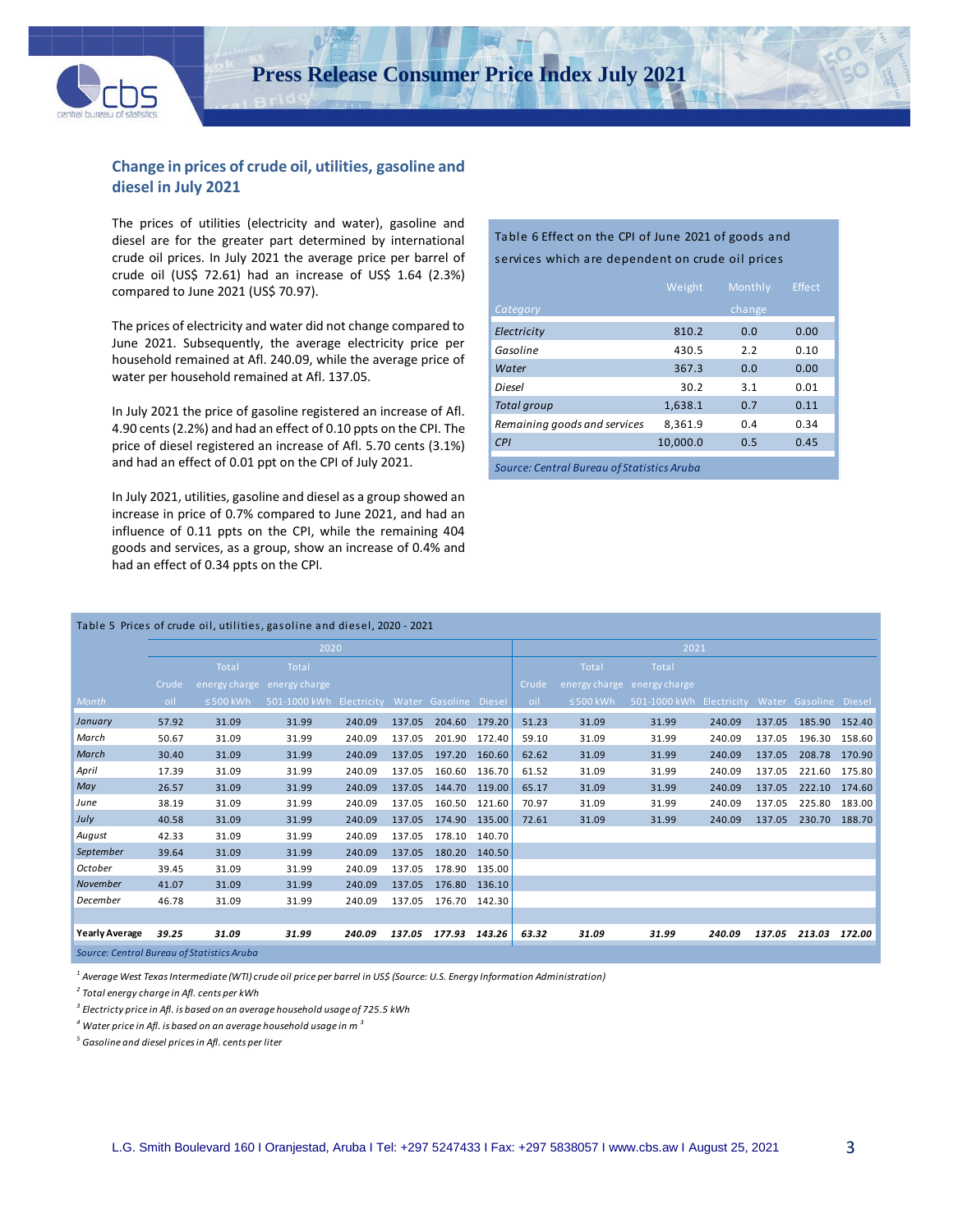

### **Change in prices of crude oil, utilities, gasoline and diesel in July 2021**

The prices of utilities (electricity and water), gasoline and diesel are for the greater part determined by international crude oil prices. In July 2021 the average price per barrel of crude oil (US\$ 72.61) had an increase of US\$ 1.64 (2.3%) compared to June 2021 (US\$ 70.97).

The prices of electricity and water did not change compared to June 2021. Subsequently, the average electricity price per household remained at Afl. 240.09, while the average price of water per household remained at Afl. 137.05.

In July 2021 the price of gasoline registered an increase of Afl. 4.90 cents (2.2%) and had an effect of 0.10 ppts on the CPI. The price of diesel registered an increase of Afl. 5.70 cents (3.1%) and had an effect of 0.01 ppt on the CPI of July 2021.

In July 2021, utilities, gasoline and diesel as a group showed an increase in price of 0.7% compared to June 2021, and had an influence of 0.11 ppts on the CPI, while the remaining 404 goods and services, as a group, show an increase of 0.4% and had an effect of 0.34 ppts on the CPI*.*

#### Table 6 Effect on the CPI of June 2021 of goods and services which are dependent on crude oil prices

|                                            | Weight   | Monthly | <b>Effect</b> |
|--------------------------------------------|----------|---------|---------------|
| Category                                   |          | change  |               |
| Electricity                                | 810.2    | 0.0     | 0.00          |
| Gasoline                                   | 430.5    | 2.2     | 0.10          |
| Water                                      | 367.3    | 0.0     | 0.00          |
| Diesel                                     | 30.2     | 3.1     | 0.01          |
| <b>Total group</b>                         | 1,638.1  | 0.7     | 0.11          |
| Remaining goods and services               | 8.361.9  | 0.4     | 0.34          |
| CPI                                        | 10.000.0 | 0.5     | 0.45          |
| Source: Central Bureau of Statistics Aruba |          |         |               |

|                                           | Table 5 Prices of crude oil, utilities, gasoline and diesel, 2020 - 2021 |                |                                                |        |        |               |        |       |                |                                                |        |        |               |        |  |
|-------------------------------------------|--------------------------------------------------------------------------|----------------|------------------------------------------------|--------|--------|---------------|--------|-------|----------------|------------------------------------------------|--------|--------|---------------|--------|--|
|                                           |                                                                          |                | 2020                                           |        |        |               |        | 2021  |                |                                                |        |        |               |        |  |
|                                           |                                                                          | Total          | Total                                          |        |        |               |        |       | Total          | <b>Total</b>                                   |        |        |               |        |  |
|                                           | Crude                                                                    |                | energy charge energy charge                    |        |        |               |        | Crude |                | energy charge energy charge                    |        |        |               |        |  |
| Month                                     | oil                                                                      | $\leq$ 500 kWh | 501-1000 kWh Electricity Water Gasoline Diesel |        |        |               |        | oil   | $\leq$ 500 kWh | 501-1000 kWh Electricity Water Gasoline Diesel |        |        |               |        |  |
| January                                   | 57.92                                                                    | 31.09          | 31.99                                          | 240.09 | 137.05 | 204.60 179.20 |        | 51.23 | 31.09          | 31.99                                          | 240.09 | 137.05 | 185.90 152.40 |        |  |
| March                                     | 50.67                                                                    | 31.09          | 31.99                                          | 240.09 | 137.05 | 201.90 172.40 |        | 59.10 | 31.09          | 31.99                                          | 240.09 | 137.05 | 196.30 158.60 |        |  |
| March                                     | 30.40                                                                    | 31.09          | 31.99                                          | 240.09 | 137.05 | 197.20        | 160.60 | 62.62 | 31.09          | 31.99                                          | 240.09 | 137.05 | 208.78        | 170.90 |  |
| April                                     | 17.39                                                                    | 31.09          | 31.99                                          | 240.09 | 137.05 | 160.60        | 136.70 | 61.52 | 31.09          | 31.99                                          | 240.09 | 137.05 | 221.60        | 175.80 |  |
| May                                       | 26.57                                                                    | 31.09          | 31.99                                          | 240.09 | 137.05 | 144.70 119.00 |        | 65.17 | 31.09          | 31.99                                          | 240.09 | 137.05 | 222.10 174.60 |        |  |
| June                                      | 38.19                                                                    | 31.09          | 31.99                                          | 240.09 | 137.05 | 160.50        | 121.60 | 70.97 | 31.09          | 31.99                                          | 240.09 | 137.05 | 225.80        | 183.00 |  |
| July                                      | 40.58                                                                    | 31.09          | 31.99                                          | 240.09 | 137.05 | 174.90 135.00 |        | 72.61 | 31.09          | 31.99                                          | 240.09 | 137.05 | 230.70 188.70 |        |  |
| August                                    | 42.33                                                                    | 31.09          | 31.99                                          | 240.09 | 137.05 | 178.10 140.70 |        |       |                |                                                |        |        |               |        |  |
| September                                 | 39.64                                                                    | 31.09          | 31.99                                          | 240.09 | 137.05 | 180.20        | 140.50 |       |                |                                                |        |        |               |        |  |
| October                                   | 39.45                                                                    | 31.09          | 31.99                                          | 240.09 | 137.05 | 178.90        | 135.00 |       |                |                                                |        |        |               |        |  |
| November                                  | 41.07                                                                    | 31.09          | 31.99                                          | 240.09 | 137.05 | 176.80        | 136.10 |       |                |                                                |        |        |               |        |  |
| December                                  | 46.78                                                                    | 31.09          | 31.99                                          | 240.09 | 137.05 | 176.70 142.30 |        |       |                |                                                |        |        |               |        |  |
|                                           |                                                                          |                |                                                |        |        |               |        |       |                |                                                |        |        |               |        |  |
| <b>Yearly Average</b>                     | 39.25                                                                    | 31.09          | 31.99                                          | 240.09 | 137.05 | 177.93        | 143.26 | 63.32 | 31.09          | 31.99                                          | 240.09 | 137.05 | 213.03        | 172.00 |  |
| Course Control Burgay of Chatistics Aruba |                                                                          |                |                                                |        |        |               |        |       |                |                                                |        |        |               |        |  |

*Source: Central Bureau of Statistics Aruba*

*<sup>1</sup> Average West Texas Intermediate (WTI) crude oil price per barrel in US\$ (Source: U.S. Energy Information Administration)*

*2 Total energy charge in Afl. cents per kWh* 

*3 Electricty price in Afl. is based on an average household usage of 725.5 kWh*

*<sup>4</sup> Water price in Afl. is based on an average household usage in m <sup>3</sup>*

*<sup>5</sup> Gasoline and diesel prices in Afl. cents per liter*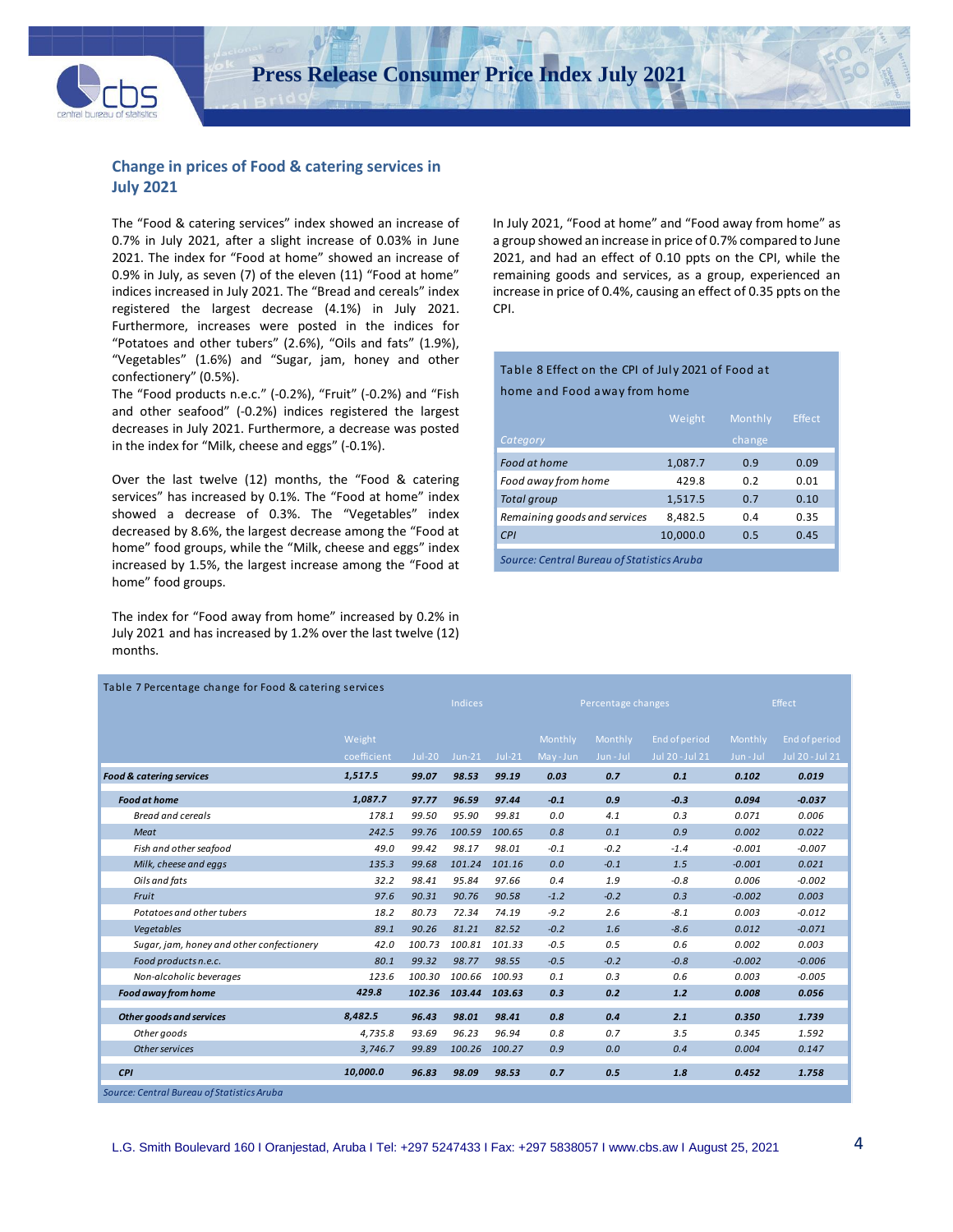

### **Change in prices of Food & catering services in July 2021**

The "Food & catering services" index showed an increase of 0.7% in July 2021, after a slight increase of 0.03% in June 2021. The index for "Food at home" showed an increase of 0.9% in July, as seven (7) of the eleven (11) "Food at home" indices increased in July 2021. The "Bread and cereals" index registered the largest decrease (4.1%) in July 2021. Furthermore, increases were posted in the indices for "Potatoes and other tubers" (2.6%), "Oils and fats" (1.9%), "Vegetables" (1.6%) and "Sugar, jam, honey and other confectionery" (0.5%).

The "Food products n.e.c." (-0.2%), "Fruit" (-0.2%) and "Fish and other seafood" (-0.2%) indices registered the largest decreases in July 2021. Furthermore, a decrease was posted in the index for "Milk, cheese and eggs" (-0.1%).

Over the last twelve (12) months, the "Food & catering services" has increased by 0.1%. The "Food at home" index showed a decrease of 0.3%. The "Vegetables" index decreased by 8.6%, the largest decrease among the "Food at home" food groups, while the "Milk, cheese and eggs" index increased by 1.5%, the largest increase among the "Food at home" food groups.

The index for "Food away from home" increased by 0.2% in July 2021 and has increased by 1.2% over the last twelve (12) months.

In July 2021, "Food at home" and "Food away from home" as a group showed an increase in price of 0.7% compared to June 2021, and had an effect of 0.10 ppts on the CPI, while the remaining goods and services, as a group, experienced an increase in price of 0.4%, causing an effect of 0.35 ppts on the CPI.

#### Table 8 Effect on the CPI of July 2021 of Food at

home and Food away from home

|                                            | Weight   | Monthly | Effect |
|--------------------------------------------|----------|---------|--------|
| Category                                   |          | change  |        |
| Food at home                               | 1,087.7  | 0.9     | 0.09   |
| Food away from home                        | 429.8    | 0.2     | 0.01   |
| <b>Total group</b>                         | 1,517.5  | 0.7     | 0.10   |
| Remaining goods and services               | 8,482.5  | 0.4     | 0.35   |
| CPI                                        | 10,000.0 | 0.5     | 0.45   |
| Source: Central Bureau of Statistics Aruba |          |         |        |

| Table 7 Percentage change for Food & catering services |             |          |                |          |         |                    |                 |          |                 |  |  |
|--------------------------------------------------------|-------------|----------|----------------|----------|---------|--------------------|-----------------|----------|-----------------|--|--|
|                                                        |             |          | <b>Indices</b> |          |         | Percentage changes |                 |          | <b>Effect</b>   |  |  |
|                                                        |             |          |                |          |         |                    |                 |          |                 |  |  |
|                                                        | Weight      |          |                |          | Monthly | Monthly            | End of period   | Monthly  | End of period   |  |  |
|                                                        | coefficient | $Jul-20$ | $Jun-21$       | $Jul-21$ | May-Jun | Jun-Jul            | Jul 20 - Jul 21 | Jun-Jul  | Jul 20 - Jul 21 |  |  |
| <b>Food &amp; catering services</b>                    | 1,517.5     | 99.07    | 98.53          | 99.19    | 0.03    | 0.7                | 0.1             | 0.102    | 0.019           |  |  |
| <b>Food at home</b>                                    | 1,087.7     | 97.77    | 96.59          | 97.44    | $-0.1$  | 0.9                | $-0.3$          | 0.094    | $-0.037$        |  |  |
| <b>Bread and cereals</b>                               | 178.1       | 99.50    | 95.90          | 99.81    | 0.0     | 4.1                | 0.3             | 0.071    | 0.006           |  |  |
| Meat                                                   | 242.5       | 99.76    | 100.59         | 100.65   | 0.8     | 0.1                | 0.9             | 0.002    | 0.022           |  |  |
| Fish and other seafood                                 | 49.0        | 99.42    | 98.17          | 98.01    | $-0.1$  | $-0.2$             | $-1.4$          | $-0.001$ | $-0.007$        |  |  |
| Milk, cheese and eggs                                  | 135.3       | 99.68    | 101.24         | 101.16   | 0.0     | $-0.1$             | 1.5             | $-0.001$ | 0.021           |  |  |
| Oils and fats                                          | 32.2        | 98.41    | 95.84          | 97.66    | 0.4     | 1.9                | $-0.8$          | 0.006    | $-0.002$        |  |  |
| Fruit                                                  | 97.6        | 90.31    | 90.76          | 90.58    | $-1.2$  | $-0.2$             | 0.3             | $-0.002$ | 0.003           |  |  |
| Potatoes and other tubers                              | 18.2        | 80.73    | 72.34          | 74.19    | $-9.2$  | 2.6                | $-8.1$          | 0.003    | $-0.012$        |  |  |
| Vegetables                                             | 89.1        | 90.26    | 81.21          | 82.52    | $-0.2$  | 1.6                | $-8.6$          | 0.012    | $-0.071$        |  |  |
| Sugar, jam, honey and other confectionery              | 42.0        | 100.73   | 100.81         | 101.33   | $-0.5$  | 0.5                | 0.6             | 0.002    | 0.003           |  |  |
| Food products n.e.c.                                   | 80.1        | 99.32    | 98.77          | 98.55    | $-0.5$  | $-0.2$             | $-0.8$          | $-0.002$ | $-0.006$        |  |  |
| Non-alcoholic beverages                                | 123.6       | 100.30   | 100.66         | 100.93   | 0.1     | 0.3                | 0.6             | 0.003    | $-0.005$        |  |  |
| Food away from home                                    | 429.8       | 102.36   | 103.44 103.63  |          | 0.3     | 0.2                | $1.2$           | 0.008    | 0.056           |  |  |
| <b>Other goods and services</b>                        | 8,482.5     | 96.43    | 98.01          | 98.41    | 0.8     | 0.4                | 2.1             | 0.350    | 1.739           |  |  |
| Other goods                                            | 4,735.8     | 93.69    | 96.23          | 96.94    | 0.8     | 0.7                | 3.5             | 0.345    | 1.592           |  |  |
| Other services                                         | 3,746.7     | 99.89    | 100.26         | 100.27   | 0.9     | 0.0                | 0.4             | 0.004    | 0.147           |  |  |
| <b>CPI</b>                                             | 10,000.0    | 96.83    | 98.09          | 98.53    | 0.7     | 0.5                | 1.8             | 0.452    | 1.758           |  |  |
| Source: Central Bureau of Statistics Aruba             |             |          |                |          |         |                    |                 |          |                 |  |  |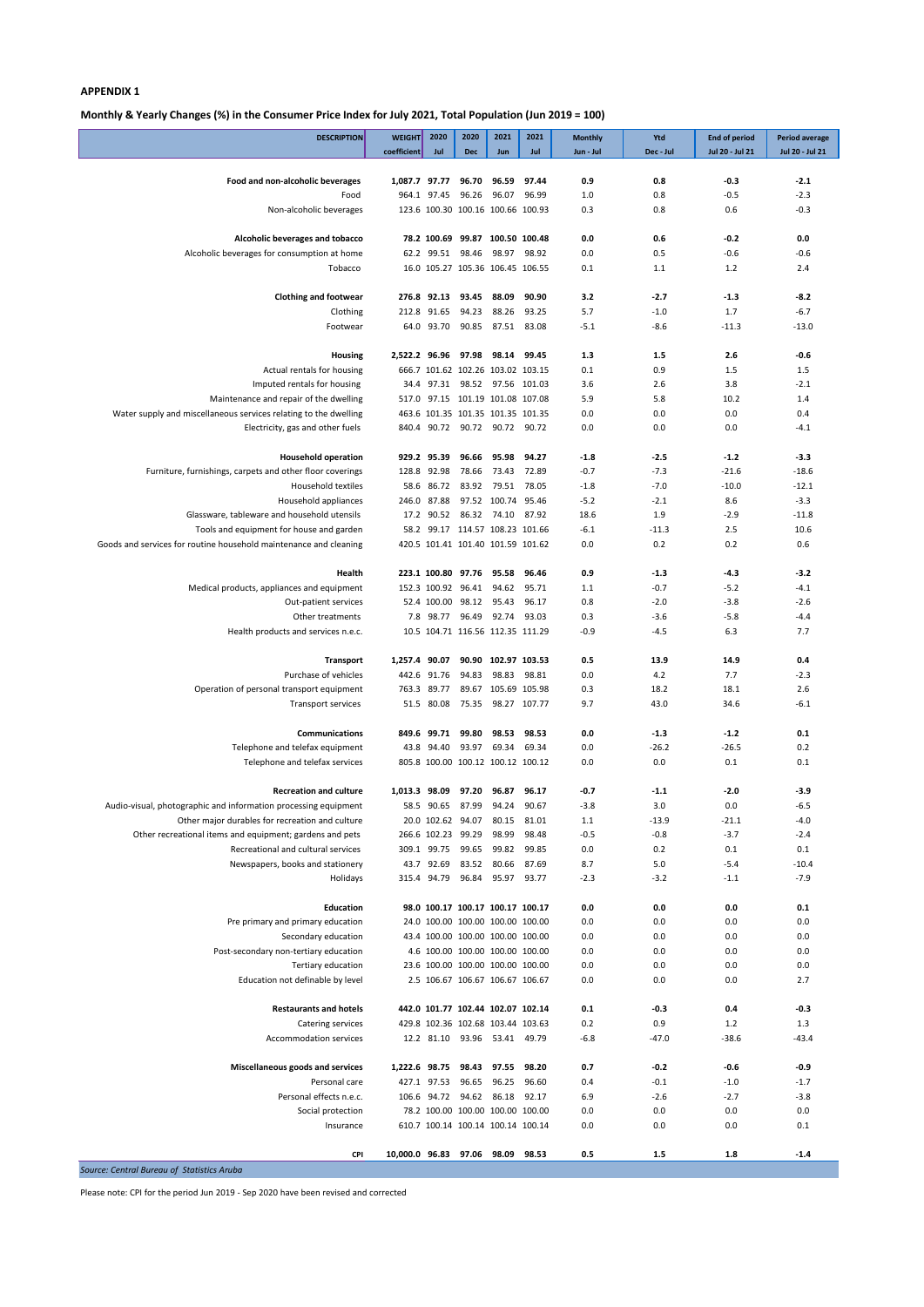**Monthly & Yearly Changes (%) in the Consumer Price Index for July 2021, Total Population (Jun 2019 = 100)**

| <b>DESCRIPTION</b>                                                                                            | <b>WEIGHT</b>                    | 2020                            | 2020                                                                   | 2021                 | 2021           | <b>Monthly</b> | Ytd              | <b>End of period</b> | <b>Period average</b> |
|---------------------------------------------------------------------------------------------------------------|----------------------------------|---------------------------------|------------------------------------------------------------------------|----------------------|----------------|----------------|------------------|----------------------|-----------------------|
|                                                                                                               | coefficient                      | Jul                             | <b>Dec</b>                                                             | <b>Jun</b>           | Jul            | Jun - Jul      | Dec - Jul        | Jul 20 - Jul 21      | Jul 20 - Jul 21       |
| Food and non-alcoholic beverages                                                                              | 1,087.7 97.77                    |                                 | 96.70                                                                  | 96.59                | 97.44          | 0.9            | 0.8              | $-0.3$               | $-2.1$                |
| Food                                                                                                          |                                  | 964.1 97.45                     | 96.26                                                                  | 96.07 96.99          |                | 1.0            | 0.8              | $-0.5$               | $-2.3$                |
| Non-alcoholic beverages                                                                                       |                                  |                                 | 123.6 100.30 100.16 100.66 100.93                                      |                      |                | 0.3            | 0.8              | 0.6                  | $-0.3$                |
| Alcoholic beverages and tobacco                                                                               |                                  |                                 | 78.2 100.69 99.87 100.50 100.48                                        |                      |                | 0.0            | 0.6              | $-0.2$               | 0.0                   |
| Alcoholic beverages for consumption at home                                                                   |                                  | 62.2 99.51                      | 98.46                                                                  |                      | 98.97 98.92    | 0.0            | 0.5              | $-0.6$               | $-0.6$                |
| Tobacco                                                                                                       |                                  |                                 | 16.0 105.27 105.36 106.45 106.55                                       |                      |                | 0.1            | 1.1              | 1.2                  | 2.4                   |
| <b>Clothing and footwear</b>                                                                                  |                                  | 276.8 92.13                     | 93.45                                                                  | 88.09                | 90.90          | 3.2            | $-2.7$           | $-1.3$               | $-8.2$                |
| Clothing                                                                                                      | 212.8                            | 91.65                           | 94.23                                                                  | 88.26                | 93.25          | 5.7            | $-1.0$           | 1.7                  | $-6.7$                |
| Footwear                                                                                                      |                                  | 64.0 93.70                      | 90.85                                                                  | 87.51 83.08          |                | $-5.1$         | $-8.6$           | $-11.3$              | $-13.0$               |
|                                                                                                               |                                  |                                 |                                                                        |                      |                |                |                  |                      |                       |
| Housing                                                                                                       | 2,522.2 96.96                    |                                 | 97.98 98.14 99.45                                                      |                      |                | 1.3            | 1.5              | 2.6                  | $-0.6$                |
| Actual rentals for housing<br>Imputed rentals for housing                                                     |                                  |                                 | 666.7 101.62 102.26 103.02 103.15<br>34.4 97.31 98.52 97.56 101.03     |                      |                | 0.1<br>3.6     | 0.9<br>2.6       | 1.5<br>3.8           | 1.5<br>$-2.1$         |
| Maintenance and repair of the dwelling                                                                        |                                  |                                 | 517.0 97.15 101.19 101.08 107.08                                       |                      |                | 5.9            | 5.8              | 10.2                 | 1.4                   |
| Water supply and miscellaneous services relating to the dwelling                                              |                                  |                                 | 463.6 101.35 101.35 101.35 101.35                                      |                      |                | 0.0            | 0.0              | 0.0                  | 0.4                   |
| Electricity, gas and other fuels                                                                              |                                  |                                 | 840.4 90.72 90.72 90.72 90.72                                          |                      |                | 0.0            | 0.0              | 0.0                  | $-4.1$                |
| <b>Household operation</b>                                                                                    |                                  | 929.2 95.39                     | 96.66                                                                  | 95.98                | 94.27          | $-1.8$         | $-2.5$           | $-1.2$               | $-3.3$                |
| Furniture, furnishings, carpets and other floor coverings                                                     |                                  | 128.8 92.98                     | 78.66                                                                  | 73.43                | 72.89          | $-0.7$         | $-7.3$           | $-21.6$              | $-18.6$               |
| <b>Household textiles</b>                                                                                     |                                  | 58.6 86.72                      |                                                                        | 83.92 79.51 78.05    |                | $-1.8$         | $-7.0$           | $-10.0$              | $-12.1$               |
| Household appliances                                                                                          |                                  | 246.0 87.88                     |                                                                        | 97.52 100.74 95.46   |                | $-5.2$         | $-2.1$           | 8.6                  | $-3.3$                |
| Glassware, tableware and household utensils                                                                   | 17.2                             | 90.52                           |                                                                        | 86.32 74.10 87.92    |                | 18.6           | 1.9              | $-2.9$               | $-11.8$               |
| Tools and equipment for house and garden<br>Goods and services for routine household maintenance and cleaning |                                  |                                 | 58.2 99.17 114.57 108.23 101.66<br>420.5 101.41 101.40 101.59 101.62   |                      |                | $-6.1$<br>0.0  | $-11.3$<br>0.2   | 2.5<br>0.2           | 10.6<br>0.6           |
|                                                                                                               |                                  |                                 |                                                                        |                      |                |                |                  |                      |                       |
| Health                                                                                                        |                                  |                                 | 223.1 100.80 97.76 95.58                                               |                      | 96.46          | 0.9            | $-1.3$           | $-4.3$               | $-3.2$                |
| Medical products, appliances and equipment                                                                    |                                  |                                 | 152.3 100.92 96.41 94.62 95.71                                         |                      |                | 1.1            | $-0.7$           | $-5.2$               | $-4.1$                |
| Out-patient services<br>Other treatments                                                                      | 7.8                              |                                 | 52.4 100.00 98.12 95.43 96.17<br>98.77 96.49 92.74 93.03               |                      |                | 0.8<br>0.3     | $-2.0$<br>$-3.6$ | $-3.8$<br>$-5.8$     | $-2.6$<br>$-4.4$      |
| Health products and services n.e.c.                                                                           |                                  |                                 | 10.5 104.71 116.56 112.35 111.29                                       |                      |                | $-0.9$         | $-4.5$           | 6.3                  | 7.7                   |
|                                                                                                               |                                  |                                 |                                                                        |                      |                |                |                  |                      |                       |
| Transport                                                                                                     | 1,257.4                          | 90.07                           | 90.90                                                                  |                      | 102.97 103.53  | 0.5            | 13.9             | 14.9                 | 0.4                   |
| Purchase of vehicles                                                                                          | 442.6                            | 91.76                           | 94.83                                                                  |                      | 98.83 98.81    | 0.0            | 4.2              | 7.7                  | $-2.3$                |
| Operation of personal transport equipment<br>Transport services                                               |                                  | 763.3 89.77<br>51.5 80.08       | 75.35 98.27 107.77                                                     | 89.67 105.69 105.98  |                | 0.3<br>9.7     | 18.2<br>43.0     | 18.1<br>34.6         | 2.6<br>$-6.1$         |
|                                                                                                               |                                  |                                 |                                                                        |                      |                |                |                  |                      |                       |
| <b>Communications</b>                                                                                         | 849.6                            | 99.71                           | 99.80                                                                  | 98.53                | 98.53          | 0.0            | $-1.3$           | $-1.2$               | 0.1                   |
| Telephone and telefax equipment                                                                               |                                  | 43.8 94.40                      | 93.97                                                                  | 69.34                | 69.34          | 0.0            | $-26.2$          | $-26.5$              | 0.2                   |
| Telephone and telefax services                                                                                |                                  |                                 | 805.8 100.00 100.12 100.12 100.12                                      |                      |                | 0.0            | 0.0              | 0.1                  | 0.1                   |
| <b>Recreation and culture</b>                                                                                 | 1,013.3 98.09                    |                                 | 97.20                                                                  | 96.87                | 96.17          | -0.7           | $-1.1$           | $-2.0$               | $-3.9$                |
| Audio-visual, photographic and information processing equipment                                               |                                  | 58.5 90.65                      | 87.99                                                                  | 94.24                | 90.67          | $-3.8$         | 3.0              | 0.0                  | $-6.5$                |
| Other major durables for recreation and culture                                                               |                                  | 20.0 102.62 94.07               |                                                                        | 80.15                | 81.01          | 1.1            | $-13.9$          | $-21.1$              | $-4.0$                |
| Other recreational items and equipment; gardens and pets                                                      |                                  | 266.6 102.23 99.29              |                                                                        | 98.99                | 98.48          | $-0.5$         | $-0.8$           | $-3.7$               | $-2.4$                |
| Recreational and cultural services<br>Newspapers, books and stationery                                        |                                  | 309.1 99.75 99.65<br>43.7 92.69 | 83.52                                                                  | 99.82<br>80.66       | 99.85<br>87.69 | 0.0<br>8.7     | 0.2<br>5.0       | 0.1<br>$-5.4$        | 0.1<br>$-10.4$        |
| Holidays                                                                                                      |                                  | 315.4 94.79                     | 96.84                                                                  | 95.97 93.77          |                | $-2.3$         | $-3.2$           | $-1.1$               | $-7.9$                |
|                                                                                                               |                                  |                                 |                                                                        |                      |                |                |                  |                      |                       |
| Education                                                                                                     |                                  |                                 | 98.0 100.17 100.17 100.17 100.17                                       |                      |                | 0.0            | 0.0              | 0.0                  | 0.1                   |
| Pre primary and primary education                                                                             |                                  |                                 | 24.0 100.00 100.00 100.00 100.00                                       |                      |                | 0.0            | 0.0              | 0.0                  | 0.0                   |
| Secondary education<br>Post-secondary non-tertiary education                                                  |                                  |                                 | 43.4 100.00 100.00 100.00 100.00<br>4.6 100.00 100.00 100.00 100.00    |                      |                | 0.0<br>0.0     | 0.0<br>0.0       | 0.0<br>0.0           | 0.0<br>0.0            |
| Tertiary education                                                                                            |                                  |                                 | 23.6 100.00 100.00 100.00 100.00                                       |                      |                | 0.0            | 0.0              | 0.0                  | 0.0                   |
| Education not definable by level                                                                              |                                  |                                 | 2.5 106.67 106.67 106.67 106.67                                        |                      |                | 0.0            | 0.0              | 0.0                  | 2.7                   |
|                                                                                                               |                                  |                                 |                                                                        |                      |                |                |                  |                      |                       |
| <b>Restaurants and hotels</b><br>Catering services                                                            |                                  |                                 | 442.0 101.77 102.44 102.07 102.14<br>429.8 102.36 102.68 103.44 103.63 |                      |                | 0.1<br>0.2     | $-0.3$<br>0.9    | 0.4<br>1.2           | $-0.3$<br>1.3         |
| Accommodation services                                                                                        |                                  |                                 | 12.2 81.10 93.96 53.41 49.79                                           |                      |                | $-6.8$         | $-47.0$          | $-38.6$              | $-43.4$               |
|                                                                                                               |                                  |                                 |                                                                        |                      |                |                |                  |                      |                       |
| Miscellaneous goods and services                                                                              | 1,222.6 98.75                    |                                 | 98.43                                                                  | 97.55                | 98.20          | 0.7            | $-0.2$           | -0.6                 | $-0.9$                |
| Personal care<br>Personal effects n.e.c.                                                                      |                                  | 427.1 97.53                     | 96.65                                                                  | 96.25<br>94.62 86.18 | 96.60<br>92.17 | 0.4            | $-0.1$           | $-1.0$<br>$-2.7$     | $-1.7$                |
| Social protection                                                                                             | 106.6                            | 94.72                           | 78.2 100.00 100.00 100.00 100.00                                       |                      |                | 6.9<br>0.0     | $-2.6$<br>0.0    | 0.0                  | $-3.8$<br>0.0         |
| Insurance                                                                                                     |                                  |                                 | 610.7 100.14 100.14 100.14 100.14                                      |                      |                | 0.0            | 0.0              | 0.0                  | 0.1                   |
|                                                                                                               |                                  |                                 |                                                                        |                      |                |                |                  |                      |                       |
| CPI                                                                                                           | 10,000.0 96.83 97.06 98.09 98.53 |                                 |                                                                        |                      |                | 0.5            | 1.5              | 1.8                  | $-1.4$                |

*Source: Central Bureau of Statistics Aruba*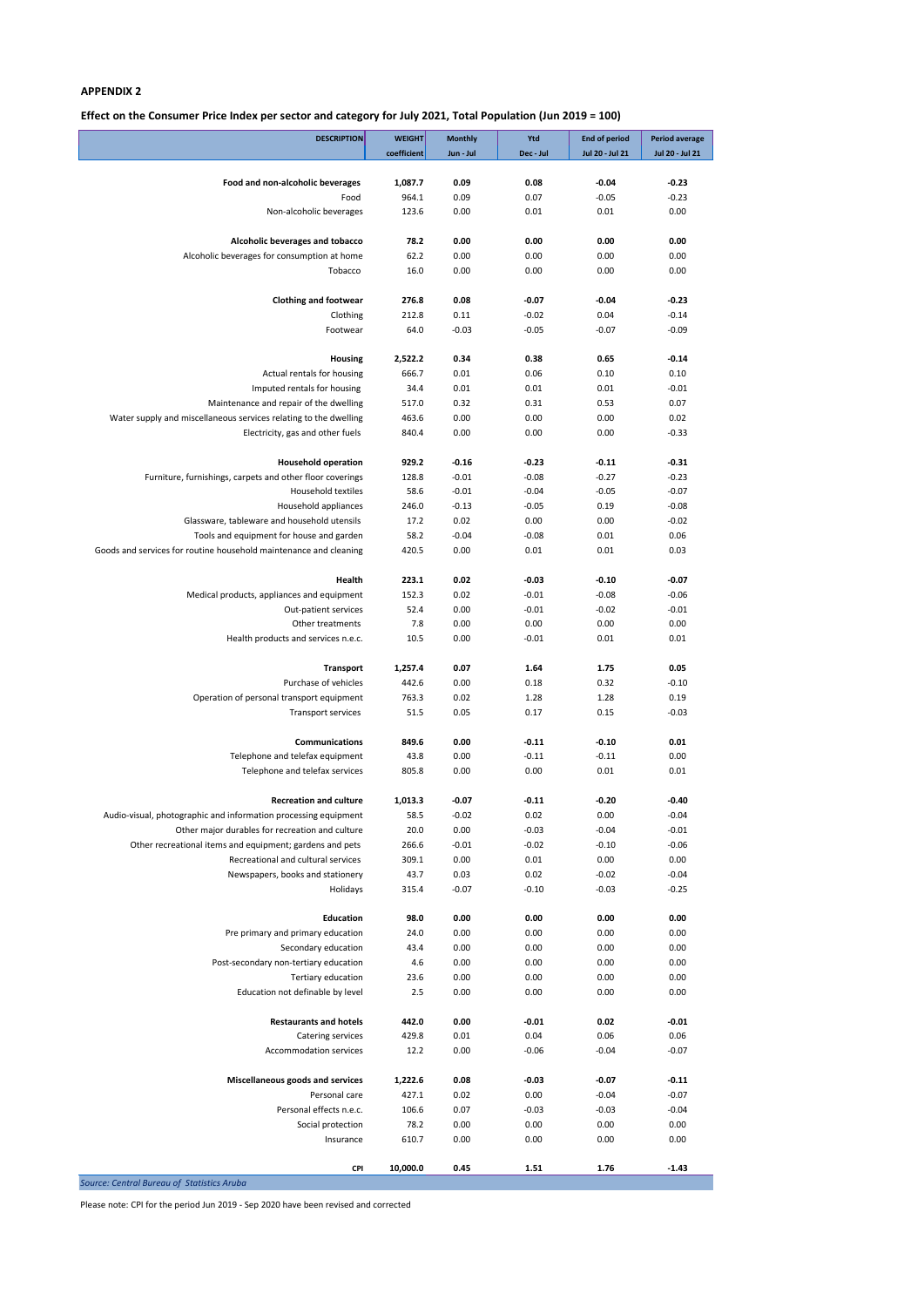**Effect on the Consumer Price Index per sector and category for July 2021, Total Population (Jun 2019 = 100)**

| <b>DESCRIPTION</b>                                                                                            | <b>WEIGHT</b><br>coefficient | <b>Monthly</b><br>Jun - Jul | Ytd<br>Dec - Jul   | <b>End of period</b><br>Jul 20 - Jul 21 | <b>Period average</b><br>Jul 20 - Jul 21 |
|---------------------------------------------------------------------------------------------------------------|------------------------------|-----------------------------|--------------------|-----------------------------------------|------------------------------------------|
|                                                                                                               |                              |                             |                    |                                         |                                          |
| Food and non-alcoholic beverages                                                                              | 1,087.7                      | 0.09                        | 0.08               | $-0.04$                                 | $-0.23$                                  |
| Food                                                                                                          | 964.1                        | 0.09                        | 0.07               | $-0.05$                                 | $-0.23$                                  |
| Non-alcoholic beverages                                                                                       | 123.6                        | 0.00                        | 0.01               | 0.01                                    | 0.00                                     |
| Alcoholic beverages and tobacco                                                                               | 78.2                         | 0.00                        | 0.00               | 0.00                                    | 0.00                                     |
| Alcoholic beverages for consumption at home                                                                   | 62.2                         | 0.00                        | 0.00               | 0.00                                    | 0.00                                     |
| Tobacco                                                                                                       | 16.0                         | 0.00                        | 0.00               | 0.00                                    | 0.00                                     |
|                                                                                                               |                              |                             |                    |                                         |                                          |
| <b>Clothing and footwear</b><br>Clothing                                                                      | 276.8<br>212.8               | 0.08<br>0.11                | $-0.07$<br>$-0.02$ | $-0.04$<br>0.04                         | $-0.23$<br>$-0.14$                       |
| Footwear                                                                                                      | 64.0                         | $-0.03$                     | $-0.05$            | $-0.07$                                 | $-0.09$                                  |
|                                                                                                               |                              |                             |                    |                                         |                                          |
| <b>Housing</b>                                                                                                | 2,522.2                      | 0.34                        | 0.38               | 0.65                                    | $-0.14$                                  |
| Actual rentals for housing                                                                                    | 666.7                        | 0.01                        | 0.06               | 0.10                                    | 0.10                                     |
| Imputed rentals for housing                                                                                   | 34.4                         | 0.01                        | 0.01               | 0.01                                    | $-0.01$                                  |
| Maintenance and repair of the dwelling                                                                        | 517.0                        | 0.32<br>0.00                | 0.31               | 0.53<br>0.00                            | 0.07<br>0.02                             |
| Water supply and miscellaneous services relating to the dwelling<br>Electricity, gas and other fuels          | 463.6<br>840.4               | 0.00                        | 0.00<br>0.00       | 0.00                                    | $-0.33$                                  |
|                                                                                                               |                              |                             |                    |                                         |                                          |
| <b>Household operation</b>                                                                                    | 929.2                        | $-0.16$                     | $-0.23$            | $-0.11$                                 | $-0.31$                                  |
| Furniture, furnishings, carpets and other floor coverings                                                     | 128.8                        | $-0.01$                     | $-0.08$            | $-0.27$                                 | $-0.23$                                  |
| <b>Household textiles</b>                                                                                     | 58.6                         | $-0.01$                     | $-0.04$            | $-0.05$                                 | $-0.07$                                  |
| Household appliances                                                                                          | 246.0                        | $-0.13$                     | $-0.05$            | 0.19                                    | $-0.08$                                  |
| Glassware, tableware and household utensils                                                                   | 17.2<br>58.2                 | 0.02<br>$-0.04$             | 0.00<br>$-0.08$    | 0.00<br>0.01                            | $-0.02$<br>0.06                          |
| Tools and equipment for house and garden<br>Goods and services for routine household maintenance and cleaning | 420.5                        | 0.00                        | 0.01               | 0.01                                    | 0.03                                     |
|                                                                                                               |                              |                             |                    |                                         |                                          |
| Health                                                                                                        | 223.1                        | 0.02                        | $-0.03$            | $-0.10$                                 | $-0.07$                                  |
| Medical products, appliances and equipment                                                                    | 152.3                        | 0.02                        | $-0.01$            | $-0.08$                                 | $-0.06$                                  |
| Out-patient services                                                                                          | 52.4                         | 0.00                        | $-0.01$            | $-0.02$                                 | $-0.01$                                  |
| Other treatments                                                                                              | 7.8                          | 0.00                        | 0.00               | 0.00                                    | 0.00                                     |
| Health products and services n.e.c.                                                                           | 10.5                         | 0.00                        | $-0.01$            | 0.01                                    | 0.01                                     |
| Transport                                                                                                     | 1,257.4                      | 0.07                        | 1.64               | 1.75                                    | 0.05                                     |
| Purchase of vehicles                                                                                          | 442.6                        | 0.00                        | 0.18               | 0.32                                    | $-0.10$                                  |
| Operation of personal transport equipment                                                                     | 763.3                        | 0.02                        | 1.28               | 1.28                                    | 0.19                                     |
| Transport services                                                                                            | 51.5                         | 0.05                        | 0.17               | 0.15                                    | $-0.03$                                  |
|                                                                                                               |                              |                             |                    |                                         |                                          |
| <b>Communications</b><br>Telephone and telefax equipment                                                      | 849.6<br>43.8                | 0.00<br>0.00                | $-0.11$<br>$-0.11$ | $-0.10$<br>$-0.11$                      | 0.01<br>0.00                             |
| Telephone and telefax services                                                                                | 805.8                        | 0.00                        | 0.00               | 0.01                                    | 0.01                                     |
|                                                                                                               |                              |                             |                    |                                         |                                          |
| <b>Recreation and culture</b>                                                                                 | 1,013.3                      | $-0.07$                     | $-0.11$            | $-0.20$                                 | $-0.40$                                  |
| Audio-visual, photographic and information processing equipment                                               | 58.5                         | $-0.02$                     | 0.02               | 0.00                                    | $-0.04$                                  |
| Other major durables for recreation and culture                                                               | 20.0                         | 0.00                        | $-0.03$            | $-0.04$                                 | $-0.01$                                  |
| Other recreational items and equipment; gardens and pets                                                      | 266.6                        | $-0.01$                     | $-0.02$            | $-0.10$                                 | $-0.06$                                  |
| Recreational and cultural services<br>Newspapers, books and stationery                                        | 309.1<br>43.7                | 0.00<br>0.03                | 0.01<br>0.02       | 0.00<br>$-0.02$                         | 0.00<br>$-0.04$                          |
| Holidays                                                                                                      | 315.4                        | $-0.07$                     | $-0.10$            | $-0.03$                                 | $-0.25$                                  |
|                                                                                                               |                              |                             |                    |                                         |                                          |
| <b>Education</b>                                                                                              | 98.0                         | 0.00                        | 0.00               | 0.00                                    | 0.00                                     |
| Pre primary and primary education                                                                             | 24.0                         | 0.00                        | 0.00               | 0.00                                    | 0.00                                     |
| Secondary education                                                                                           | 43.4                         | 0.00                        | 0.00               | 0.00                                    | 0.00                                     |
| Post-secondary non-tertiary education                                                                         | 4.6                          | 0.00                        | 0.00               | 0.00                                    | 0.00                                     |
| Tertiary education<br>Education not definable by level                                                        | 23.6<br>2.5                  | 0.00<br>0.00                | 0.00<br>0.00       | 0.00<br>0.00                            | 0.00<br>0.00                             |
|                                                                                                               |                              |                             |                    |                                         |                                          |
| <b>Restaurants and hotels</b>                                                                                 | 442.0                        | 0.00                        | $-0.01$            | 0.02                                    | $-0.01$                                  |
| Catering services                                                                                             | 429.8                        | 0.01                        | 0.04               | 0.06                                    | 0.06                                     |
| Accommodation services                                                                                        | 12.2                         | 0.00                        | $-0.06$            | $-0.04$                                 | $-0.07$                                  |
|                                                                                                               |                              |                             |                    |                                         |                                          |
| Miscellaneous goods and services<br>Personal care                                                             | 1,222.6<br>427.1             | 0.08<br>0.02                | $-0.03$<br>0.00    | $-0.07$<br>$-0.04$                      | $-0.11$<br>$-0.07$                       |
| Personal effects n.e.c.                                                                                       | 106.6                        | 0.07                        | $-0.03$            | $-0.03$                                 | $-0.04$                                  |
| Social protection                                                                                             | 78.2                         | 0.00                        | 0.00               | 0.00                                    | 0.00                                     |
| Insurance                                                                                                     | 610.7                        | 0.00                        | 0.00               | 0.00                                    | 0.00                                     |
|                                                                                                               |                              |                             |                    |                                         |                                          |
| <b>CPI</b>                                                                                                    | 10,000.0                     | 0.45                        | 1.51               | 1.76                                    | $-1.43$                                  |
| Source: Central Bureau of Statistics Aruba                                                                    |                              |                             |                    |                                         |                                          |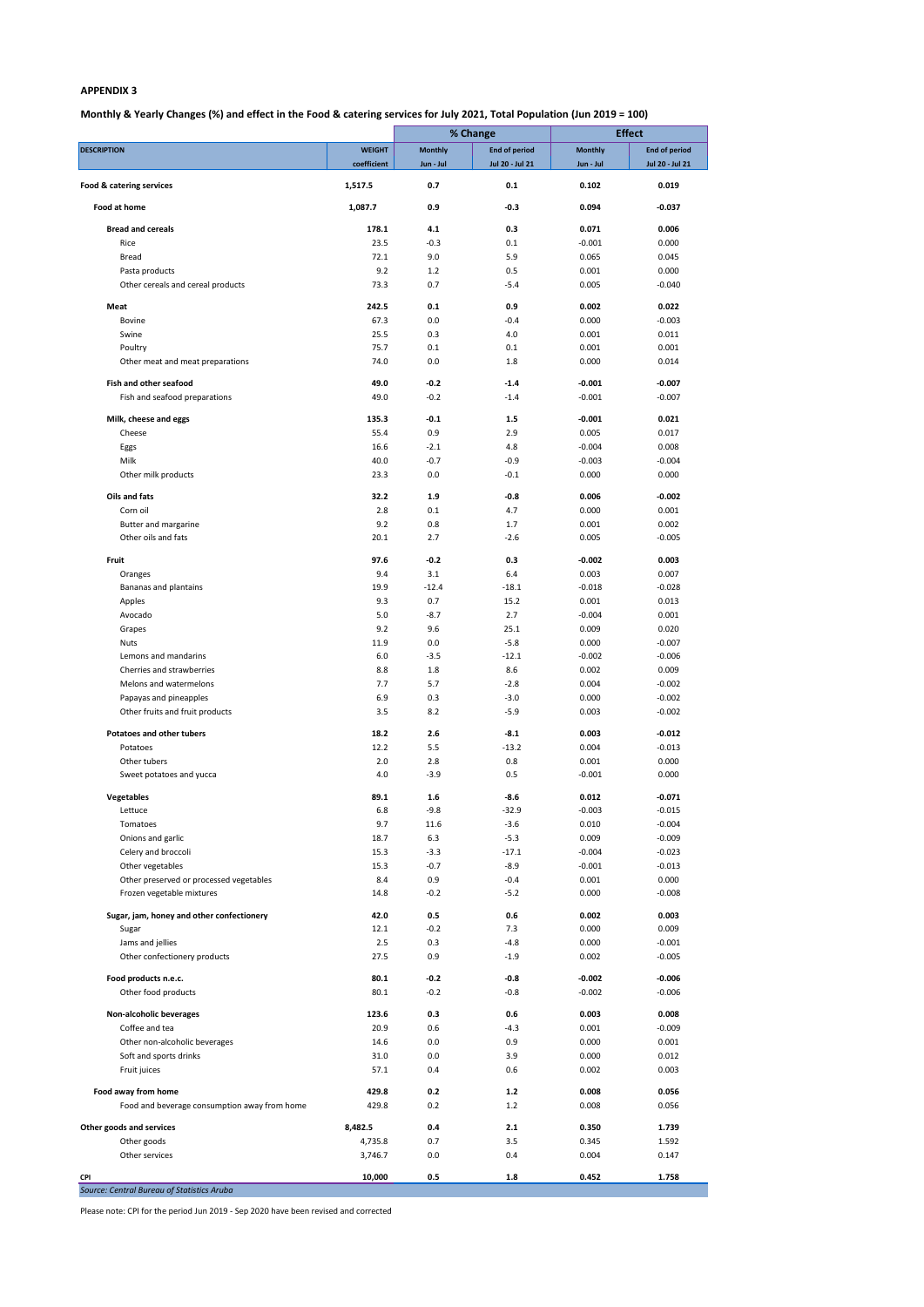## **Monthly & Yearly Changes (%) and effect in the Food & catering services for July 2021, Total Population (Jun 2019 = 100)**

|                                                                     |                    |                  | % Change             |                | <b>Effect</b>        |  |
|---------------------------------------------------------------------|--------------------|------------------|----------------------|----------------|----------------------|--|
| <b>DESCRIPTION</b>                                                  | <b>WEIGHT</b>      | <b>Monthly</b>   | <b>End of period</b> | <b>Monthly</b> | <b>End of period</b> |  |
|                                                                     | coefficient        | Jun - Jul        | Jul 20 - Jul 21      | Jun - Jul      | Jul 20 - Jul 21      |  |
| Food & catering services<br>Food at home                            | 1,517.5<br>1,087.7 | 0.7<br>0.9       | 0.1<br>$-0.3$        | 0.102<br>0.094 | 0.019<br>$-0.037$    |  |
|                                                                     |                    |                  |                      |                |                      |  |
| <b>Bread and cereals</b>                                            | 178.1              | 4.1              | 0.3                  | 0.071          | 0.006                |  |
| Rice                                                                | 23.5               | $-0.3$           | 0.1                  | $-0.001$       | 0.000                |  |
| <b>Bread</b>                                                        | 72.1               | 9.0              | 5.9                  | 0.065          | 0.045                |  |
| Pasta products                                                      | 9.2                | 1.2              | 0.5                  | 0.001          | 0.000                |  |
| Other cereals and cereal products                                   | 73.3               | 0.7              | $-5.4$               | 0.005          | $-0.040$             |  |
| Meat                                                                | 242.5              | 0.1              | 0.9                  | 0.002          | 0.022                |  |
| <b>Bovine</b>                                                       | 67.3               | 0.0              | $-0.4$               | 0.000          | $-0.003$             |  |
| Swine                                                               | 25.5               | 0.3              | 4.0                  | 0.001          | 0.011                |  |
| Poultry                                                             | 75.7               | 0.1              | 0.1                  | 0.001          | 0.001                |  |
| Other meat and meat preparations                                    | 74.0               | 0.0              | 1.8                  | 0.000          | 0.014                |  |
|                                                                     |                    |                  |                      |                |                      |  |
| <b>Fish and other seafood</b>                                       | 49.0               | $-0.2$<br>$-0.2$ | $-1.4$               | $-0.001$       | $-0.007$             |  |
| Fish and seafood preparations                                       | 49.0               |                  | $-1.4$               | $-0.001$       | $-0.007$             |  |
| Milk, cheese and eggs                                               | 135.3              | $-0.1$           | 1.5                  | $-0.001$       | 0.021                |  |
| Cheese                                                              | 55.4               | 0.9              | 2.9                  | 0.005          | 0.017                |  |
| Eggs                                                                | 16.6               | $-2.1$           | 4.8                  | $-0.004$       | 0.008                |  |
| Milk                                                                | 40.0               | $-0.7$           | $-0.9$               | $-0.003$       | $-0.004$             |  |
| Other milk products                                                 | 23.3               | 0.0              | $-0.1$               | 0.000          | 0.000                |  |
| Oils and fats                                                       |                    |                  |                      |                |                      |  |
|                                                                     | 32.2               | 1.9              | $-0.8$               | 0.006          | $-0.002$             |  |
| Corn oil<br>Butter and margarine                                    | 2.8<br>9.2         | 0.1<br>0.8       | 4.7<br>1.7           | 0.000<br>0.001 | 0.001<br>0.002       |  |
| Other oils and fats                                                 | 20.1               | 2.7              | $-2.6$               | 0.005          | $-0.005$             |  |
|                                                                     |                    |                  |                      |                |                      |  |
| Fruit                                                               | 97.6               | $-0.2$           | 0.3                  | $-0.002$       | 0.003                |  |
| Oranges                                                             | 9.4                | 3.1              | 6.4                  | 0.003          | 0.007                |  |
| Bananas and plantains                                               | 19.9               | $-12.4$          | $-18.1$              | $-0.018$       | $-0.028$             |  |
| Apples                                                              | 9.3                | 0.7              | 15.2                 | 0.001          | 0.013                |  |
| Avocado                                                             | 5.0                | $-8.7$           | 2.7                  | $-0.004$       | 0.001                |  |
| Grapes                                                              | 9.2                | 9.6              | 25.1                 | 0.009          | 0.020                |  |
| <b>Nuts</b>                                                         | 11.9               | 0.0              | $-5.8$               | 0.000          | $-0.007$             |  |
| Lemons and mandarins                                                | 6.0                | $-3.5$           | $-12.1$              | $-0.002$       | $-0.006$             |  |
| Cherries and strawberries                                           | 8.8                | 1.8              | 8.6                  | 0.002          | 0.009                |  |
| Melons and watermelons                                              | 7.7                | 5.7              | $-2.8$               | 0.004          | $-0.002$             |  |
| Papayas and pineapples                                              | 6.9                | 0.3              | $-3.0$               | 0.000          | $-0.002$             |  |
| Other fruits and fruit products                                     | 3.5                | 8.2              | $-5.9$               | 0.003          | $-0.002$             |  |
| <b>Potatoes and other tubers</b>                                    | 18.2               | 2.6              | $-8.1$               | 0.003          | $-0.012$             |  |
| Potatoes                                                            | 12.2               | $5.5\,$          | $-13.2$              | 0.004          | $-0.013$             |  |
| Other tubers                                                        | 2.0                | 2.8              | 0.8                  | 0.001          | 0.000                |  |
| Sweet potatoes and yucca                                            | 4.0                | $-3.9$           | 0.5                  | $-0.001$       | 0.000                |  |
|                                                                     |                    |                  |                      |                |                      |  |
| Vegetables                                                          | 89.1               | 1.6              | $-8.6$               | 0.012          | $-0.071$             |  |
| Lettuce                                                             | 6.8                | $-9.8$           | $-32.9$              | $-0.003$       | $-0.015$             |  |
| Tomatoes                                                            | 9.7                | 11.6             | $-3.6$               | 0.010          | $-0.004$             |  |
| Onions and garlic                                                   | 18.7               | 6.3              | $-5.3$               | 0.009          | $-0.009$             |  |
| Celery and broccoli                                                 | 15.3               | $-3.3$           | $-17.1$              | $-0.004$       | $-0.023$             |  |
| Other vegetables                                                    | 15.3               | $-0.7$           | $-8.9$               | $-0.001$       | $-0.013$             |  |
| Other preserved or processed vegetables                             | 8.4                | 0.9              | $-0.4$               | 0.001          | 0.000                |  |
| Frozen vegetable mixtures                                           | 14.8               | $-0.2$           | $-5.2$               | 0.000          | $-0.008$             |  |
| Sugar, jam, honey and other confectionery                           | 42.0               | 0.5              | 0.6                  | 0.002          | 0.003                |  |
| Sugar                                                               | 12.1               | $-0.2$           | 7.3                  | 0.000          | 0.009                |  |
| Jams and jellies                                                    | 2.5                | 0.3              | $-4.8$               | 0.000          | $-0.001$             |  |
| Other confectionery products                                        | 27.5               | 0.9              | $-1.9$               | 0.002          | $-0.005$             |  |
|                                                                     |                    |                  |                      |                |                      |  |
| Food products n.e.c.                                                | 80.1<br>80.1       | $-0.2$<br>$-0.2$ | $-0.8$               | $-0.002$       | $-0.006$<br>$-0.006$ |  |
| Other food products                                                 |                    |                  | $-0.8$               | $-0.002$       |                      |  |
| Non-alcoholic beverages                                             | 123.6              | 0.3              | 0.6                  | 0.003          | 0.008                |  |
| Coffee and tea                                                      | 20.9               | 0.6              | $-4.3$               | 0.001          | $-0.009$             |  |
| Other non-alcoholic beverages                                       | 14.6               | 0.0              | 0.9                  | 0.000          | 0.001                |  |
| Soft and sports drinks                                              | 31.0               | 0.0              | 3.9                  | 0.000          | 0.012                |  |
| Fruit juices                                                        | 57.1               | 0.4              | 0.6                  | 0.002          | 0.003                |  |
|                                                                     | 429.8              | 0.2              | $1.2$                |                | 0.056                |  |
| Food away from home<br>Food and beverage consumption away from home | 429.8              | 0.2              | 1.2                  | 0.008<br>0.008 | 0.056                |  |
|                                                                     |                    |                  |                      |                |                      |  |
| Other goods and services                                            | 8,482.5            | 0.4              | 2.1                  | 0.350          | 1.739                |  |
| Other goods                                                         | 4,735.8            | 0.7              | 3.5                  | 0.345          | 1.592                |  |
| Other services                                                      | 3,746.7            | 0.0              | 0.4                  | 0.004          | 0.147                |  |
| <b>CPI</b>                                                          | 10,000             | $0.5\,$          | $1.8\,$              | 0.452          | 1.758                |  |
| Source: Central Bureau of Statistics Aruba                          |                    |                  |                      |                |                      |  |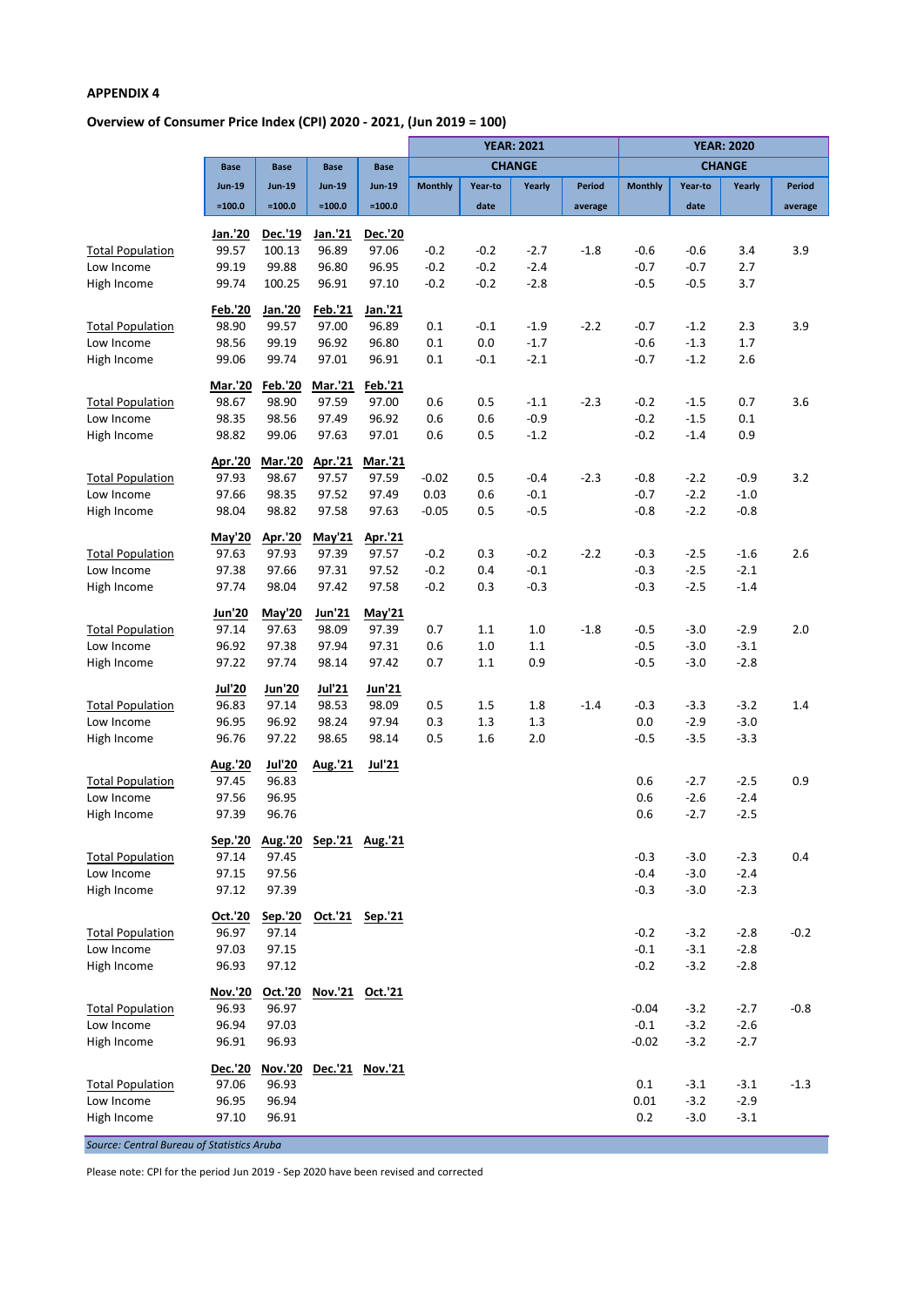# **Overview of Consumer Price Index (CPI) 2020 - 2021, (Jun 2019 = 100)**

|                         |                |                |                 |                 |                |         | <b>YEAR: 2021</b> |               | <b>YEAR: 2020</b> |         |               |               |
|-------------------------|----------------|----------------|-----------------|-----------------|----------------|---------|-------------------|---------------|-------------------|---------|---------------|---------------|
|                         | <b>Base</b>    | <b>Base</b>    | <b>Base</b>     | <b>Base</b>     |                |         | <b>CHANGE</b>     |               |                   |         | <b>CHANGE</b> |               |
|                         | <b>Jun-19</b>  | <b>Jun-19</b>  | <b>Jun-19</b>   | <b>Jun-19</b>   | <b>Monthly</b> | Year-to | Yearly            | <b>Period</b> | <b>Monthly</b>    | Year-to | Yearly        | <b>Period</b> |
|                         | $=100.0$       | $=100.0$       | $=100.0$        | $=100.0$        |                | date    |                   | average       |                   | date    |               | average       |
|                         | Jan.'20        | Dec.'19        | Jan.'21         | <b>Dec.'20</b>  |                |         |                   |               |                   |         |               |               |
| <b>Total Population</b> | 99.57          | 100.13         | 96.89           | 97.06           | $-0.2$         | $-0.2$  | $-2.7$            | $-1.8$        | $-0.6$            | $-0.6$  | 3.4           | 3.9           |
| Low Income              | 99.19          | 99.88          | 96.80           | 96.95           | $-0.2$         | $-0.2$  | $-2.4$            |               | $-0.7$            | $-0.7$  | 2.7           |               |
| High Income             | 99.74          | 100.25         | 96.91           | 97.10           | $-0.2$         | $-0.2$  | $-2.8$            |               | $-0.5$            | $-0.5$  | 3.7           |               |
|                         | <b>Feb.'20</b> | Jan.'20        | Feb.'21         | Jan.'21         |                |         |                   |               |                   |         |               |               |
| <b>Total Population</b> | 98.90          | 99.57          | 97.00           | 96.89           | 0.1            | $-0.1$  | $-1.9$            | $-2.2$        | $-0.7$            | $-1.2$  | 2.3           | 3.9           |
| Low Income              | 98.56          | 99.19          | 96.92           | 96.80           | 0.1            | 0.0     | $-1.7$            |               | $-0.6$            | $-1.3$  | 1.7           |               |
| High Income             | 99.06          | 99.74          | 97.01           | 96.91           | 0.1            | $-0.1$  | $-2.1$            |               | $-0.7$            | $-1.2$  | 2.6           |               |
|                         | Mar.'20        | <b>Feb.'20</b> | Mar.'21         | Feb.'21         |                |         |                   |               |                   |         |               |               |
| <b>Total Population</b> | 98.67          | 98.90          | 97.59           | 97.00           | 0.6            | 0.5     | $-1.1$            | $-2.3$        | $-0.2$            | $-1.5$  | 0.7           | 3.6           |
| Low Income              | 98.35          | 98.56          | 97.49           | 96.92           | 0.6            | 0.6     | $-0.9$            |               | $-0.2$            | $-1.5$  | 0.1           |               |
| High Income             | 98.82          | 99.06          | 97.63           | 97.01           | 0.6            | 0.5     | $-1.2$            |               | $-0.2$            | $-1.4$  | 0.9           |               |
|                         | Apr.'20        | Mar.'20        | Apr.'21         | <b>Mar.'21</b>  |                |         |                   |               |                   |         |               |               |
| <b>Total Population</b> | 97.93          | 98.67          | 97.57           | 97.59           | $-0.02$        | 0.5     | $-0.4$            | $-2.3$        | $-0.8$            | $-2.2$  | $-0.9$        | 3.2           |
| Low Income              | 97.66          | 98.35          | 97.52           | 97.49           | 0.03           | 0.6     | $-0.1$            |               | $-0.7$            | $-2.2$  | $-1.0$        |               |
| High Income             | 98.04          | 98.82          | 97.58           | 97.63           | $-0.05$        | 0.5     | $-0.5$            |               | $-0.8$            | $-2.2$  | $-0.8$        |               |
|                         | May'20         | Apr.'20        | May'21          | Apr.'21         |                |         |                   |               |                   |         |               |               |
| <b>Total Population</b> | 97.63          | 97.93          | 97.39           | 97.57           | $-0.2$         | 0.3     | $-0.2$            | $-2.2$        | $-0.3$            | $-2.5$  | $-1.6$        | 2.6           |
| Low Income              | 97.38          | 97.66          | 97.31           | 97.52           | $-0.2$         | 0.4     | $-0.1$            |               | $-0.3$            | $-2.5$  | $-2.1$        |               |
| High Income             | 97.74          | 98.04          | 97.42           | 97.58           | $-0.2$         | 0.3     | $-0.3$            |               | $-0.3$            | $-2.5$  | $-1.4$        |               |
|                         | <b>Jun'20</b>  | May'20         | Jun'21          | May'21          |                |         |                   |               |                   |         |               |               |
| <b>Total Population</b> | 97.14          | 97.63          | 98.09           | 97.39           | 0.7            | $1.1\,$ | $1.0$             | $-1.8$        | $-0.5$            | $-3.0$  | $-2.9$        | 2.0           |
| Low Income              | 96.92          | 97.38          | 97.94           | 97.31           | 0.6            | 1.0     | 1.1               |               | $-0.5$            | $-3.0$  | $-3.1$        |               |
| High Income             | 97.22          | 97.74          | 98.14           | 97.42           | 0.7            | 1.1     | 0.9               |               | $-0.5$            | $-3.0$  | $-2.8$        |               |
|                         | <b>Jul'20</b>  | <b>Jun'20</b>  | Jul'21          | Jun'21          |                |         |                   |               |                   |         |               |               |
| <b>Total Population</b> | 96.83          | 97.14          | 98.53           | 98.09           | 0.5            | 1.5     | 1.8               | $-1.4$        | $-0.3$            | $-3.3$  | $-3.2$        | 1.4           |
| Low Income              | 96.95          | 96.92          | 98.24           | 97.94           | 0.3            | 1.3     | 1.3               |               | 0.0               | $-2.9$  | $-3.0$        |               |
| High Income             | 96.76          | 97.22          | 98.65           | 98.14           | 0.5            | 1.6     | 2.0               |               | $-0.5$            | $-3.5$  | $-3.3$        |               |
|                         | Aug.'20        | <b>Jul'20</b>  | Aug.'21         | <b>Jul'21</b>   |                |         |                   |               |                   |         |               |               |
| <b>Total Population</b> | 97.45          | 96.83          |                 |                 |                |         |                   |               | 0.6               | $-2.7$  | $-2.5$        | 0.9           |
| Low Income              | 97.56          | 96.95          |                 |                 |                |         |                   |               | 0.6               | $-2.6$  | $-2.4$        |               |
| High Income             | 97.39          | 96.76          |                 |                 |                |         |                   |               | 0.6               | $-2.7$  | $-2.5$        |               |
|                         | <u>Sep.'20</u> | <u>Aug.'20</u> | Sep.'21 Aug.'21 |                 |                |         |                   |               |                   |         |               |               |
| <b>Total Population</b> | 97.14          | 97.45          |                 |                 |                |         |                   |               | $-0.3$            | $-3.0$  | $-2.3$        | 0.4           |
| Low Income              | 97.15          | 97.56          |                 |                 |                |         |                   |               | $-0.4$            | $-3.0$  | $-2.4$        |               |
| High Income             | 97.12          | 97.39          |                 |                 |                |         |                   |               | $-0.3$            | $-3.0$  | $-2.3$        |               |
|                         | Oct.'20        | Sep.'20        |                 | Oct.'21 Sep.'21 |                |         |                   |               |                   |         |               |               |
| <b>Total Population</b> | 96.97          | 97.14          |                 |                 |                |         |                   |               | $-0.2$            | $-3.2$  | $-2.8$        | $-0.2$        |
| Low Income              | 97.03          | 97.15          |                 |                 |                |         |                   |               | $-0.1$            | $-3.1$  | $-2.8$        |               |
| High Income             | 96.93          | 97.12          |                 |                 |                |         |                   |               | $-0.2$            | $-3.2$  | $-2.8$        |               |
|                         | <b>Nov.'20</b> | Oct.'20        | Nov.'21 Oct.'21 |                 |                |         |                   |               |                   |         |               |               |
| <b>Total Population</b> | 96.93          | 96.97          |                 |                 |                |         |                   |               | $-0.04$           | $-3.2$  | $-2.7$        | $-0.8$        |
| Low Income              | 96.94          | 97.03          |                 |                 |                |         |                   |               | $-0.1$            | $-3.2$  | $-2.6$        |               |
| High Income             | 96.91          | 96.93          |                 |                 |                |         |                   |               | $-0.02$           | $-3.2$  | $-2.7$        |               |
|                         | Dec.'20        | Nov.'20        |                 | Dec.'21 Nov.'21 |                |         |                   |               |                   |         |               |               |
| <b>Total Population</b> | 97.06          | 96.93          |                 |                 |                |         |                   |               | $0.1\,$           | $-3.1$  | $-3.1$        | $-1.3$        |
| Low Income              | 96.95          | 96.94          |                 |                 |                |         |                   |               | 0.01              | $-3.2$  | $-2.9$        |               |
| High Income             | 97.10          | 96.91          |                 |                 |                |         |                   |               | 0.2               | $-3.0$  | $-3.1$        |               |
|                         |                |                |                 |                 |                |         |                   |               |                   |         |               |               |

*Source: Central Bureau of Statistics Aruba*